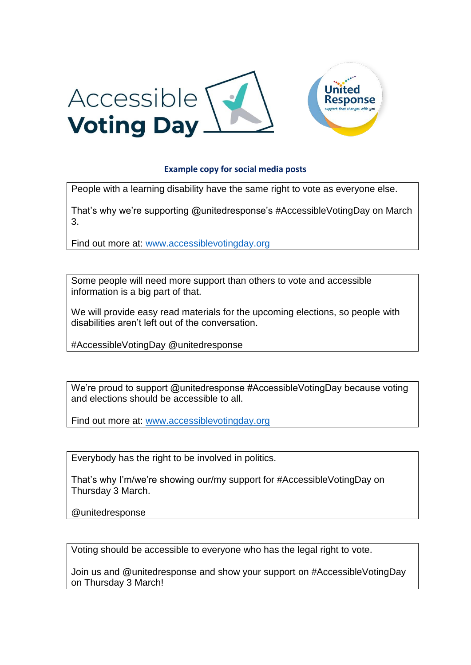

## **Example copy for social media posts**

People with a learning disability have the same right to vote as everyone else.

That's why we're supporting @unitedresponse's #AccessibleVotingDay on March 3.

Find out more at: [www.accessiblevotingday.org](http://www.accessiblevotingday.org/)

Some people will need more support than others to vote and accessible information is a big part of that.

We will provide easy read materials for the upcoming elections, so people with disabilities aren't left out of the conversation.

#AccessibleVotingDay @unitedresponse

We're proud to support @unitedresponse #AccessibleVotingDay because voting and elections should be accessible to all.

Find out more at: [www.accessiblevotingday.org](http://www.accessiblevotingday.org/)

Everybody has the right to be involved in politics.

That's why I'm/we're showing our/my support for #AccessibleVotingDay on Thursday 3 March.

@unitedresponse

Voting should be accessible to everyone who has the legal right to vote.

Join us and @unitedresponse and show your support on #AccessibleVotingDay on Thursday 3 March!